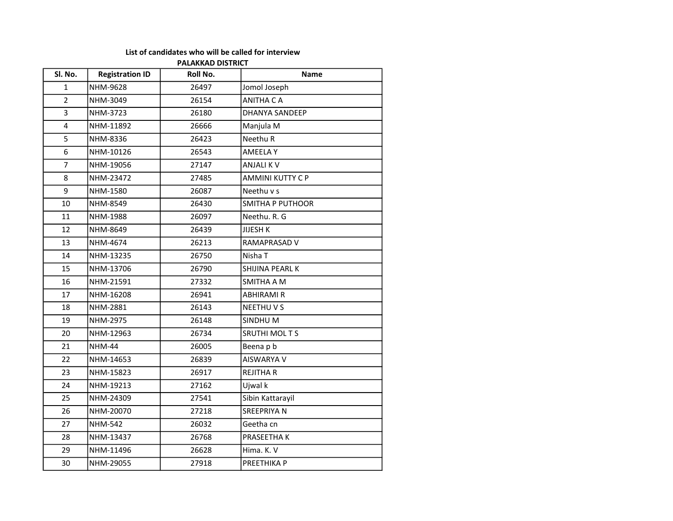## List of candidates who will be called for interview

## PALAKKAD DISTRICT

| Sl. No.        | <b>Registration ID</b> | Roll No. | <b>Name</b>             |
|----------------|------------------------|----------|-------------------------|
| 1              | NHM-9628               | 26497    | Jomol Joseph            |
| $\overline{2}$ | NHM-3049               | 26154    | <b>ANITHA CA</b>        |
| $\overline{3}$ | NHM-3723               | 26180    | <b>DHANYA SANDEEP</b>   |
| $\overline{4}$ | NHM-11892              | 26666    | Manjula M               |
| 5              | NHM-8336               | 26423    | Neethu R                |
| 6              | NHM-10126              | 26543    | <b>AMEELAY</b>          |
| $\overline{7}$ | NHM-19056              | 27147    | <b>ANJALIKV</b>         |
| 8              | NHM-23472              | 27485    | <b>AMMINI KUTTY C P</b> |
| 9              | NHM-1580               | 26087    | Neethu v s              |
| 10             | NHM-8549               | 26430    | <b>SMITHA P PUTHOOR</b> |
| 11             | NHM-1988               | 26097    | Neethu. R. G            |
| 12             | NHM-8649               | 26439    | <b>JIJESH K</b>         |
| 13             | NHM-4674               | 26213    | RAMAPRASAD V            |
| 14             | NHM-13235              | 26750    | Nisha T                 |
| 15             | NHM-13706              | 26790    | SHIJINA PEARL K         |
| 16             | NHM-21591              | 27332    | SMITHA A M              |
| 17             | NHM-16208              | 26941    | <b>ABHIRAMI R</b>       |
| 18             | NHM-2881               | 26143    | NEETHUVS                |
| 19             | NHM-2975               | 26148    | SINDHUM                 |
| 20             | NHM-12963              | 26734    | <b>SRUTHI MOLTS</b>     |
| 21             | <b>NHM-44</b>          | 26005    | Beena p b               |
| 22             | NHM-14653              | 26839    | AISWARYA V              |
| 23             | NHM-15823              | 26917    | <b>REJITHA R</b>        |
| 24             | NHM-19213              | 27162    | Ujwal k                 |
| 25             | NHM-24309              | 27541    | Sibin Kattarayil        |
| 26             | NHM-20070              | 27218    | SREEPRIYA N             |
| 27             | <b>NHM-542</b>         | 26032    | Geetha cn               |
| 28             | NHM-13437              | 26768    | PRASEETHA K             |
| 29             | NHM-11496              | 26628    | Hima. K. V              |
| 30             | NHM-29055              | 27918    | PREETHIKA P             |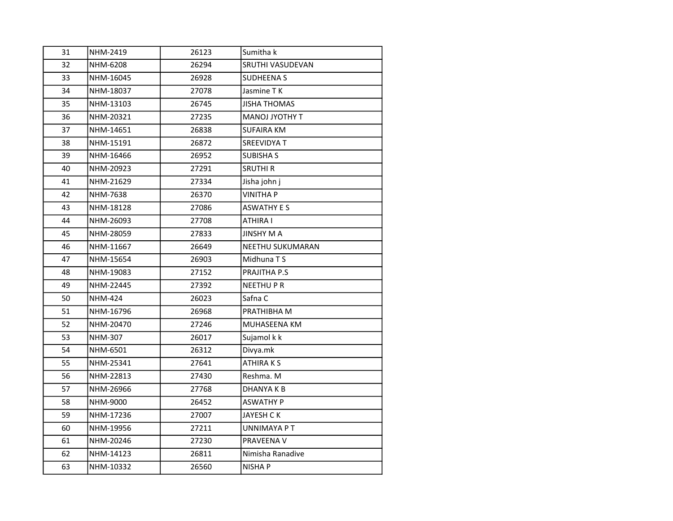| 31 | NHM-2419       | 26123 | Sumitha k           |
|----|----------------|-------|---------------------|
| 32 | NHM-6208       | 26294 | SRUTHI VASUDEVAN    |
| 33 | NHM-16045      | 26928 | <b>SUDHEENA S</b>   |
| 34 | NHM-18037      | 27078 | Jasmine TK          |
| 35 | NHM-13103      | 26745 | <b>JISHA THOMAS</b> |
| 36 | NHM-20321      | 27235 | MANOJ JYOTHY T      |
| 37 | NHM-14651      | 26838 | <b>SUFAIRA KM</b>   |
| 38 | NHM-15191      | 26872 | <b>SREEVIDYA T</b>  |
| 39 | NHM-16466      | 26952 | <b>SUBISHA S</b>    |
| 40 | NHM-20923      | 27291 | <b>SRUTHI R</b>     |
| 41 | NHM-21629      | 27334 | Jisha john j        |
| 42 | NHM-7638       | 26370 | <b>VINITHA P</b>    |
| 43 | NHM-18128      | 27086 | <b>ASWATHY E S</b>  |
| 44 | NHM-26093      | 27708 | <b>ATHIRA I</b>     |
| 45 | NHM-28059      | 27833 | <b>JINSHY MA</b>    |
| 46 | NHM-11667      | 26649 | NEETHU SUKUMARAN    |
| 47 | NHM-15654      | 26903 | Midhuna T S         |
| 48 | NHM-19083      | 27152 | PRAJITHA P.S        |
| 49 | NHM-22445      | 27392 | <b>NEETHUPR</b>     |
| 50 | <b>NHM-424</b> | 26023 | Safna C             |
| 51 | NHM-16796      | 26968 | PRATHIBHA M         |
| 52 | NHM-20470      | 27246 | MUHASEENA KM        |
| 53 | NHM-307        | 26017 | Sujamol k k         |
| 54 | NHM-6501       | 26312 | Divya.mk            |
| 55 | NHM-25341      | 27641 | <b>ATHIRAKS</b>     |
| 56 | NHM-22813      | 27430 | Reshma. M           |
| 57 | NHM-26966      | 27768 | DHANYA K B          |
| 58 | NHM-9000       | 26452 | <b>ASWATHY P</b>    |
| 59 | NHM-17236      | 27007 | <b>JAYESH CK</b>    |
| 60 | NHM-19956      | 27211 | UNNIMAYA PT         |
| 61 | NHM-20246      | 27230 | <b>PRAVEENA V</b>   |
| 62 | NHM-14123      | 26811 | Nimisha Ranadive    |
| 63 | NHM-10332      | 26560 | <b>NISHAP</b>       |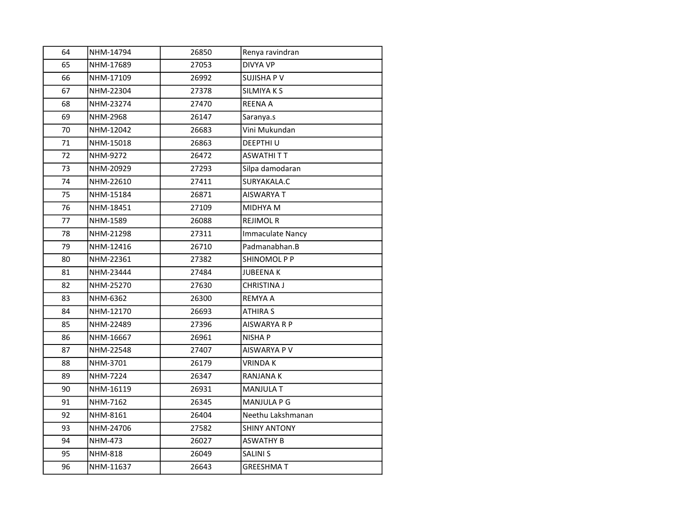| 64 | NHM-14794       | 26850 | Renya ravindran         |
|----|-----------------|-------|-------------------------|
| 65 | NHM-17689       | 27053 | <b>DIVYA VP</b>         |
| 66 | NHM-17109       | 26992 | <b>SUJISHA P V</b>      |
| 67 | NHM-22304       | 27378 | SILMIYA K S             |
| 68 | NHM-23274       | 27470 | REENA A                 |
| 69 | NHM-2968        | 26147 | Saranya.s               |
| 70 | NHM-12042       | 26683 | Vini Mukundan           |
| 71 | NHM-15018       | 26863 | DEEPTHI U               |
| 72 | NHM-9272        | 26472 | ASWATHI T T             |
| 73 | NHM-20929       | 27293 | Silpa damodaran         |
| 74 | NHM-22610       | 27411 | SURYAKALA.C             |
| 75 | NHM-15184       | 26871 | AISWARYA T              |
| 76 | NHM-18451       | 27109 | MIDHYA M                |
| 77 | NHM-1589        | 26088 | <b>REJIMOL R</b>        |
| 78 | NHM-21298       | 27311 | <b>Immaculate Nancy</b> |
| 79 | NHM-12416       | 26710 | Padmanabhan.B           |
| 80 | NHM-22361       | 27382 | SHINOMOL P P            |
| 81 | NHM-23444       | 27484 | <b>JUBEENAK</b>         |
| 82 | NHM-25270       | 27630 | CHRISTINA J             |
| 83 | NHM-6362        | 26300 | REMYA A                 |
| 84 | NHM-12170       | 26693 | ATHIRA S                |
| 85 | NHM-22489       | 27396 | AISWARYA R P            |
| 86 | NHM-16667       | 26961 | NISHA P                 |
| 87 | NHM-22548       | 27407 | AISWARYA P V            |
| 88 | NHM-3701        | 26179 | <b>VRINDA K</b>         |
| 89 | <b>NHM-7224</b> | 26347 | RANJANA K               |
| 90 | NHM-16119       | 26931 | <b>MANJULA T</b>        |
| 91 | NHM-7162        | 26345 | MANJULA P G             |
| 92 | NHM-8161        | 26404 | Neethu Lakshmanan       |
| 93 | NHM-24706       | 27582 | <b>SHINY ANTONY</b>     |
| 94 | <b>NHM-473</b>  | 26027 | <b>ASWATHY B</b>        |
| 95 | <b>NHM-818</b>  | 26049 | SALINI S                |
| 96 | NHM-11637       | 26643 | <b>GREESHMA T</b>       |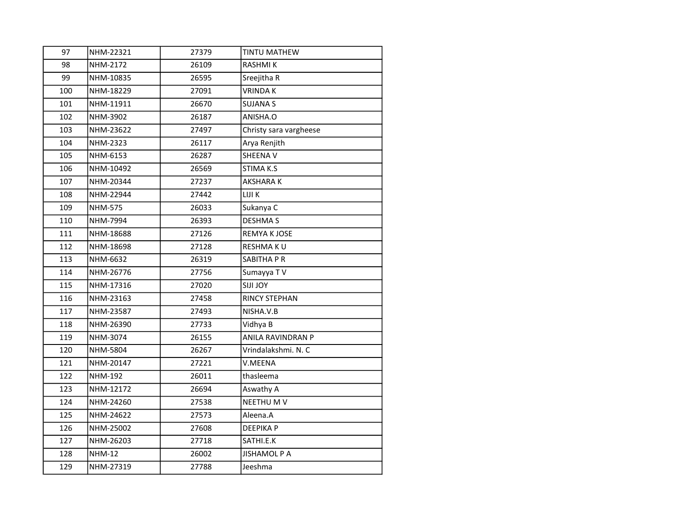| 97  | NHM-22321      | 27379 | <b>TINTU MATHEW</b>    |
|-----|----------------|-------|------------------------|
| 98  | NHM-2172       | 26109 | <b>RASHMIK</b>         |
| 99  | NHM-10835      | 26595 | Sreejitha R            |
| 100 | NHM-18229      | 27091 | <b>VRINDAK</b>         |
| 101 | NHM-11911      | 26670 | <b>SUJANA S</b>        |
| 102 | NHM-3902       | 26187 | ANISHA.O               |
| 103 | NHM-23622      | 27497 | Christy sara vargheese |
| 104 | NHM-2323       | 26117 | Arya Renjith           |
| 105 | NHM-6153       | 26287 | SHEENA V               |
| 106 | NHM-10492      | 26569 | STIMA K.S              |
| 107 | NHM-20344      | 27237 | <b>AKSHARAK</b>        |
| 108 | NHM-22944      | 27442 | LIJI K                 |
| 109 | <b>NHM-575</b> | 26033 | Sukanya C              |
| 110 | NHM-7994       | 26393 | <b>DESHMA S</b>        |
| 111 | NHM-18688      | 27126 | <b>REMYA KJOSE</b>     |
| 112 | NHM-18698      | 27128 | <b>RESHMAKU</b>        |
| 113 | NHM-6632       | 26319 | SABITHA P R            |
| 114 | NHM-26776      | 27756 | Sumayya TV             |
| 115 | NHM-17316      | 27020 | <b>SIJI JOY</b>        |
| 116 | NHM-23163      | 27458 | <b>RINCY STEPHAN</b>   |
| 117 | NHM-23587      | 27493 | NISHA.V.B              |
| 118 | NHM-26390      | 27733 | Vidhya B               |
| 119 | NHM-3074       | 26155 | ANILA RAVINDRAN P      |
| 120 | NHM-5804       | 26267 | Vrindalakshmi. N. C    |
| 121 | NHM-20147      | 27221 | V.MEENA                |
| 122 | <b>NHM-192</b> | 26011 | thasleema              |
| 123 | NHM-12172      | 26694 | Aswathy A              |
| 124 | NHM-24260      | 27538 | NEETHU M V             |
| 125 | NHM-24622      | 27573 | Aleena.A               |
| 126 | NHM-25002      | 27608 | <b>DEEPIKAP</b>        |
| 127 | NHM-26203      | 27718 | SATHI.E.K              |
| 128 | <b>NHM-12</b>  | 26002 | <b>JISHAMOL P A</b>    |
| 129 | NHM-27319      | 27788 | Jeeshma                |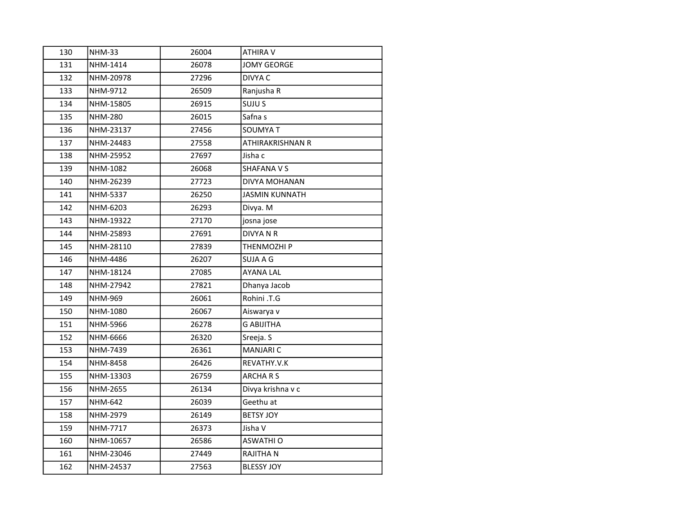| 130 | <b>NHM-33</b>  | 26004 | ATHIRA V              |
|-----|----------------|-------|-----------------------|
| 131 | NHM-1414       | 26078 | <b>JOMY GEORGE</b>    |
| 132 | NHM-20978      | 27296 | DIVYA C               |
| 133 | NHM-9712       | 26509 | Ranjusha R            |
| 134 | NHM-15805      | 26915 | SUJU S                |
| 135 | <b>NHM-280</b> | 26015 | Safna s               |
| 136 | NHM-23137      | 27456 | <b>SOUMYA T</b>       |
| 137 | NHM-24483      | 27558 | ATHIRAKRISHNAN R      |
| 138 | NHM-25952      | 27697 | Jisha c               |
| 139 | NHM-1082       | 26068 | <b>SHAFANA V S</b>    |
| 140 | NHM-26239      | 27723 | DIVYA MOHANAN         |
| 141 | NHM-5337       | 26250 | <b>JASMIN KUNNATH</b> |
| 142 | NHM-6203       | 26293 | Divya. M              |
| 143 | NHM-19322      | 27170 | josna jose            |
| 144 | NHM-25893      | 27691 | <b>DIVYANR</b>        |
| 145 | NHM-28110      | 27839 | THENMOZHI P           |
| 146 | NHM-4486       | 26207 | SUJA A G              |
| 147 | NHM-18124      | 27085 | <b>AYANA LAL</b>      |
| 148 | NHM-27942      | 27821 | Dhanya Jacob          |
| 149 | NHM-969        | 26061 | Rohini .T.G           |
| 150 | NHM-1080       | 26067 | Aiswarya v            |
| 151 | NHM-5966       | 26278 | <b>G ABIJITHA</b>     |
| 152 | NHM-6666       | 26320 | Sreeja. S             |
| 153 | NHM-7439       | 26361 | <b>MANJARI C</b>      |
| 154 | NHM-8458       | 26426 | REVATHY.V.K           |
| 155 | NHM-13303      | 26759 | <b>ARCHARS</b>        |
| 156 | NHM-2655       | 26134 | Divya krishna v c     |
| 157 | NHM-642        | 26039 | Geethu at             |
| 158 | NHM-2979       | 26149 | <b>BETSY JOY</b>      |
| 159 | NHM-7717       | 26373 | Jisha V               |
| 160 | NHM-10657      | 26586 | <b>ASWATHI O</b>      |
| 161 | NHM-23046      | 27449 | RAJITHA N             |
| 162 | NHM-24537      | 27563 | <b>BLESSY JOY</b>     |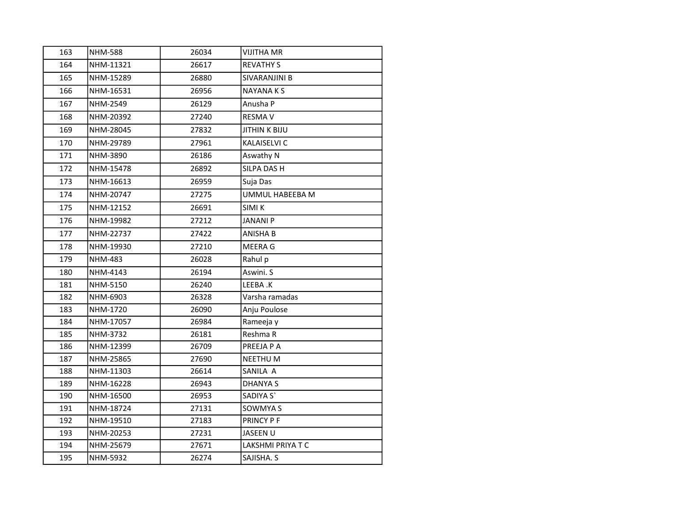| 163 | <b>NHM-588</b> | 26034 | <b>VIJITHA MR</b>      |
|-----|----------------|-------|------------------------|
| 164 | NHM-11321      | 26617 | <b>REVATHY S</b>       |
| 165 | NHM-15289      | 26880 | SIVARANJINI B          |
| 166 | NHM-16531      | 26956 | <b>NAYANAKS</b>        |
| 167 | NHM-2549       | 26129 | Anusha P               |
| 168 | NHM-20392      | 27240 | <b>RESMAV</b>          |
| 169 | NHM-28045      | 27832 | <b>JITHIN K BIJU</b>   |
| 170 | NHM-29789      | 27961 | KALAISELVI C           |
| 171 | NHM-3890       | 26186 | Aswathy N              |
| 172 | NHM-15478      | 26892 | SILPA DAS H            |
| 173 | NHM-16613      | 26959 | Suja Das               |
| 174 | NHM-20747      | 27275 | <b>UMMUL HABEEBA M</b> |
| 175 | NHM-12152      | 26691 | <b>SIMI K</b>          |
| 176 | NHM-19982      | 27212 | <b>JANANI P</b>        |
| 177 | NHM-22737      | 27422 | <b>ANISHA B</b>        |
| 178 | NHM-19930      | 27210 | <b>MEERA G</b>         |
| 179 | NHM-483        | 26028 | Rahul p                |
| 180 | NHM-4143       | 26194 | Aswini. S              |
| 181 | NHM-5150       | 26240 | LEEBA.K                |
| 182 | NHM-6903       | 26328 | Varsha ramadas         |
| 183 | NHM-1720       | 26090 | Anju Poulose           |
| 184 | NHM-17057      | 26984 | Rameeja y              |
| 185 | NHM-3732       | 26181 | Reshma R               |
| 186 | NHM-12399      | 26709 | PREEJA P A             |
| 187 | NHM-25865      | 27690 | <b>NEETHU M</b>        |
| 188 | NHM-11303      | 26614 | SANILA A               |
| 189 | NHM-16228      | 26943 | <b>DHANYA S</b>        |
| 190 | NHM-16500      | 26953 | SADIYA S'              |
| 191 | NHM-18724      | 27131 | SOWMYA S               |
| 192 | NHM-19510      | 27183 | PRINCY P F             |
| 193 | NHM-20253      | 27231 | JASEEN U               |
| 194 | NHM-25679      | 27671 | LAKSHMI PRIYA T C      |
| 195 | NHM-5932       | 26274 | SAJISHA. S             |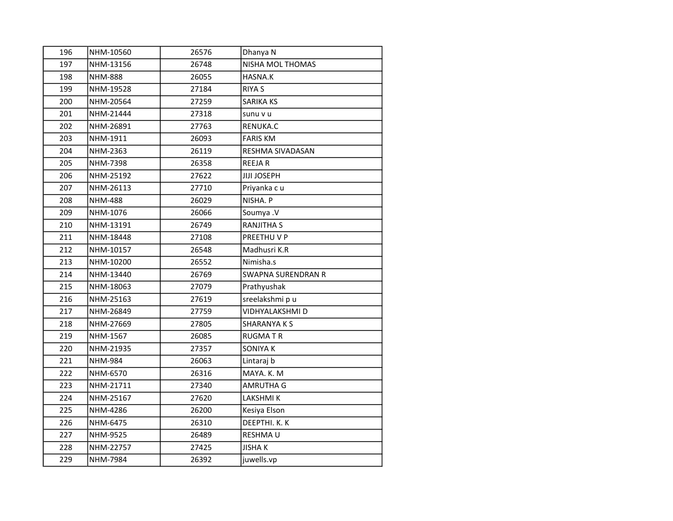| 196 | NHM-10560      | 26576 | Dhanya N                  |
|-----|----------------|-------|---------------------------|
| 197 | NHM-13156      | 26748 | NISHA MOL THOMAS          |
| 198 | <b>NHM-888</b> | 26055 | HASNA.K                   |
| 199 | NHM-19528      | 27184 | <b>RIYA S</b>             |
| 200 | NHM-20564      | 27259 | <b>SARIKA KS</b>          |
| 201 | NHM-21444      | 27318 | sunu v u                  |
| 202 | NHM-26891      | 27763 | RENUKA.C                  |
| 203 | NHM-1911       | 26093 | <b>FARIS KM</b>           |
| 204 | NHM-2363       | 26119 | RESHMA SIVADASAN          |
| 205 | NHM-7398       | 26358 | <b>REEJAR</b>             |
| 206 | NHM-25192      | 27622 | <b>JIJI JOSEPH</b>        |
| 207 | NHM-26113      | 27710 | Priyanka cu               |
| 208 | <b>NHM-488</b> | 26029 | NISHA. P                  |
| 209 | NHM-1076       | 26066 | Soumya .V                 |
| 210 | NHM-13191      | 26749 | <b>RANJITHA S</b>         |
| 211 | NHM-18448      | 27108 | PREETHUVP                 |
| 212 | NHM-10157      | 26548 | Madhusri K.R              |
| 213 | NHM-10200      | 26552 | Nimisha.s                 |
| 214 | NHM-13440      | 26769 | <b>SWAPNA SURENDRAN R</b> |
| 215 | NHM-18063      | 27079 | Prathyushak               |
| 216 | NHM-25163      | 27619 | sreelakshmi p u           |
| 217 | NHM-26849      | 27759 | VIDHYALAKSHMI D           |
| 218 | NHM-27669      | 27805 | <b>SHARANYAKS</b>         |
| 219 | NHM-1567       | 26085 | <b>RUGMATR</b>            |
| 220 | NHM-21935      | 27357 | SONIYA K                  |
| 221 | <b>NHM-984</b> | 26063 | Lintaraj b                |
| 222 | NHM-6570       | 26316 | MAYA. K. M                |
| 223 | NHM-21711      | 27340 | AMRUTHA G                 |
| 224 | NHM-25167      | 27620 | <b>LAKSHMIK</b>           |
| 225 | NHM-4286       | 26200 | Kesiya Elson              |
| 226 | NHM-6475       | 26310 | DEEPTHI. K. K             |
| 227 | NHM-9525       | 26489 | RESHMA U                  |
| 228 | NHM-22757      | 27425 | <b>JISHAK</b>             |
| 229 | NHM-7984       | 26392 | juwells.vp                |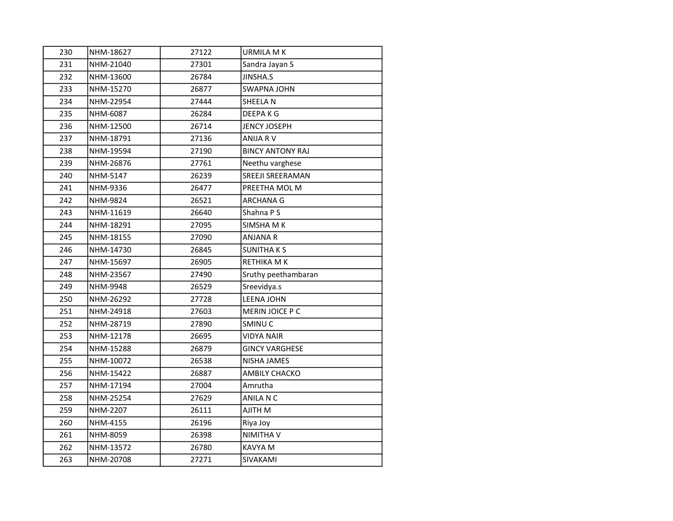| 230 | NHM-18627 | 27122 | <b>URMILA M K</b>       |
|-----|-----------|-------|-------------------------|
| 231 | NHM-21040 | 27301 | Sandra Jayan S          |
| 232 | NHM-13600 | 26784 | <b>JINSHA.S</b>         |
| 233 | NHM-15270 | 26877 | <b>SWAPNA JOHN</b>      |
| 234 | NHM-22954 | 27444 | SHEELA N                |
| 235 | NHM-6087  | 26284 | DEEPA K G               |
| 236 | NHM-12500 | 26714 | JENCY JOSEPH            |
| 237 | NHM-18791 | 27136 | ANIJA RV                |
| 238 | NHM-19594 | 27190 | <b>BINCY ANTONY RAJ</b> |
| 239 | NHM-26876 | 27761 | Neethu varghese         |
| 240 | NHM-5147  | 26239 | SREEJI SREERAMAN        |
| 241 | NHM-9336  | 26477 | PREETHA MOL M           |
| 242 | NHM-9824  | 26521 | <b>ARCHANA G</b>        |
| 243 | NHM-11619 | 26640 | Shahna P S              |
| 244 | NHM-18291 | 27095 | SIMSHA M K              |
| 245 | NHM-18155 | 27090 | <b>ANJANA R</b>         |
| 246 | NHM-14730 | 26845 | <b>SUNITHAKS</b>        |
| 247 | NHM-15697 | 26905 | RETHIKA M K             |
| 248 | NHM-23567 | 27490 | Sruthy peethambaran     |
| 249 | NHM-9948  | 26529 | Sreevidya.s             |
| 250 | NHM-26292 | 27728 | <b>LEENA JOHN</b>       |
| 251 | NHM-24918 | 27603 | MERIN JOICE P C         |
| 252 | NHM-28719 | 27890 | SMINU <sub>C</sub>      |
| 253 | NHM-12178 | 26695 | <b>VIDYA NAIR</b>       |
| 254 | NHM-15288 | 26879 | <b>GINCY VARGHESE</b>   |
| 255 | NHM-10072 | 26538 | <b>NISHA JAMES</b>      |
| 256 | NHM-15422 | 26887 | <b>AMBILY CHACKO</b>    |
| 257 | NHM-17194 | 27004 | Amrutha                 |
| 258 | NHM-25254 | 27629 | ANILA N C               |
| 259 | NHM-2207  | 26111 | AJITH M                 |
| 260 | NHM-4155  | 26196 | Riya Joy                |
| 261 | NHM-8059  | 26398 | NIMITHA V               |
| 262 | NHM-13572 | 26780 | KAVYA M                 |
| 263 | NHM-20708 | 27271 | SIVAKAMI                |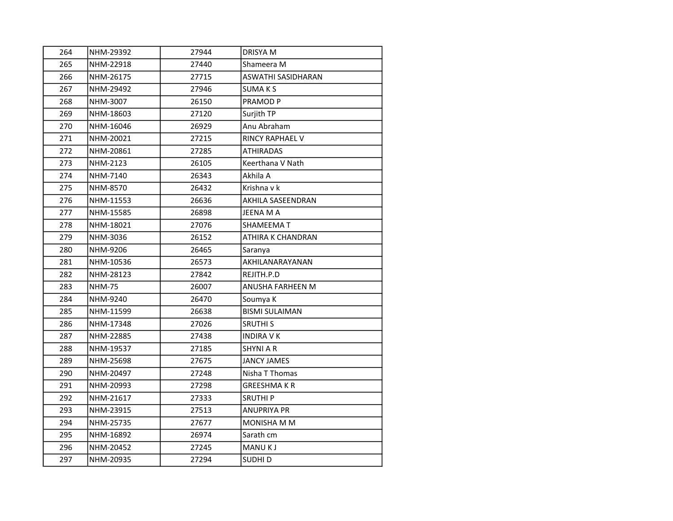| 264 | NHM-29392     | 27944 | <b>DRISYA M</b>           |
|-----|---------------|-------|---------------------------|
| 265 | NHM-22918     | 27440 | Shameera M                |
| 266 | NHM-26175     | 27715 | <b>ASWATHI SASIDHARAN</b> |
| 267 | NHM-29492     | 27946 | <b>SUMAKS</b>             |
| 268 | NHM-3007      | 26150 | PRAMOD <sub>P</sub>       |
| 269 | NHM-18603     | 27120 | Surjith TP                |
| 270 | NHM-16046     | 26929 | Anu Abraham               |
| 271 | NHM-20021     | 27215 | <b>RINCY RAPHAEL V</b>    |
| 272 | NHM-20861     | 27285 | <b>ATHIRADAS</b>          |
| 273 | NHM-2123      | 26105 | Keerthana V Nath          |
| 274 | NHM-7140      | 26343 | Akhila A                  |
| 275 | NHM-8570      | 26432 | Krishna v k               |
| 276 | NHM-11553     | 26636 | AKHILA SASEENDRAN         |
| 277 | NHM-15585     | 26898 | JEENA M A                 |
| 278 | NHM-18021     | 27076 | <b>SHAMEEMAT</b>          |
| 279 | NHM-3036      | 26152 | ATHIRA K CHANDRAN         |
| 280 | NHM-9206      | 26465 | Saranya                   |
| 281 | NHM-10536     | 26573 | AKHILANARAYANAN           |
| 282 | NHM-28123     | 27842 | REJITH.P.D                |
| 283 | <b>NHM-75</b> | 26007 | ANUSHA FARHEEN M          |
| 284 | NHM-9240      | 26470 | Soumya K                  |
| 285 | NHM-11599     | 26638 | <b>BISMI SULAIMAN</b>     |
| 286 | NHM-17348     | 27026 | <b>SRUTHIS</b>            |
| 287 | NHM-22885     | 27438 | <b>INDIRA V K</b>         |
| 288 | NHM-19537     | 27185 | <b>SHYNI A R</b>          |
| 289 | NHM-25698     | 27675 | <b>JANCY JAMES</b>        |
| 290 | NHM-20497     | 27248 | Nisha T Thomas            |
| 291 | NHM-20993     | 27298 | <b>GREESHMAKR</b>         |
| 292 | NHM-21617     | 27333 | <b>SRUTHIP</b>            |
| 293 | NHM-23915     | 27513 | <b>ANUPRIYA PR</b>        |
| 294 | NHM-25735     | 27677 | <b>MONISHA M M</b>        |
| 295 | NHM-16892     | 26974 | Sarath cm                 |
| 296 | NHM-20452     | 27245 | <b>MANUKJ</b>             |
| 297 | NHM-20935     | 27294 | SUDHI D                   |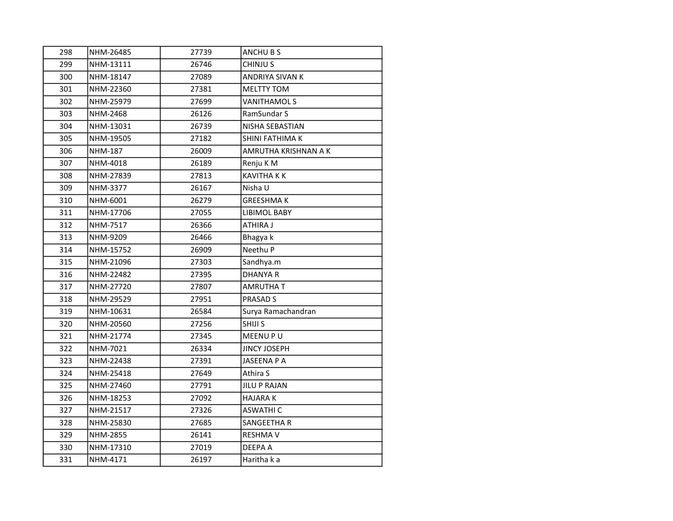| 298 | NHM-26485      | 27739 | ANCHU B S            |
|-----|----------------|-------|----------------------|
| 299 | NHM-13111      | 26746 | CHINJU S             |
| 300 | NHM-18147      | 27089 | ANDRIYA SIVAN K      |
| 301 | NHM-22360      | 27381 | <b>MELTTY TOM</b>    |
| 302 | NHM-25979      | 27699 | VANITHAMOL S         |
| 303 | NHM-2468       | 26126 | RamSundar S          |
| 304 | NHM-13031      | 26739 | NISHA SEBASTIAN      |
| 305 | NHM-19505      | 27182 | SHINI FATHIMA K      |
| 306 | <b>NHM-187</b> | 26009 | AMRUTHA KRISHNAN A K |
| 307 | NHM-4018       | 26189 | Renju K M            |
| 308 | NHM-27839      | 27813 | <b>KAVITHA K K</b>   |
| 309 | NHM-3377       | 26167 | Nisha U              |
| 310 | NHM-6001       | 26279 | GREESHMA K           |
| 311 | NHM-17706      | 27055 | <b>LIBIMOL BABY</b>  |
| 312 | NHM-7517       | 26366 | ATHIRA J             |
| 313 | NHM-9209       | 26466 | Bhagya k             |
| 314 | NHM-15752      | 26909 | Neethu P             |
| 315 | NHM-21096      | 27303 | Sandhya.m            |
| 316 | NHM-22482      | 27395 | <b>DHANYA R</b>      |
| 317 | NHM-27720      | 27807 | AMRUTHA T            |
| 318 | NHM-29529      | 27951 | PRASAD S             |
| 319 | NHM-10631      | 26584 | Surya Ramachandran   |
| 320 | NHM-20560      | 27256 | SHIJI S              |
| 321 | NHM-21774      | 27345 | MEENU PU             |
| 322 | NHM-7021       | 26334 | <b>JINCY JOSEPH</b>  |
| 323 | NHM-22438      | 27391 | JASEENA P A          |
| 324 | NHM-25418      | 27649 | Athira S             |
| 325 | NHM-27460      | 27791 | JILU P RAJAN         |
| 326 | NHM-18253      | 27092 | <b>HAJARA K</b>      |
| 327 | NHM-21517      | 27326 | <b>ASWATHI C</b>     |
| 328 | NHM-25830      | 27685 | SANGEETHA R          |
| 329 | NHM-2855       | 26141 | <b>RESHMA V</b>      |
| 330 | NHM-17310      | 27019 | DEEPA A              |
| 331 | NHM-4171       | 26197 | Haritha k a          |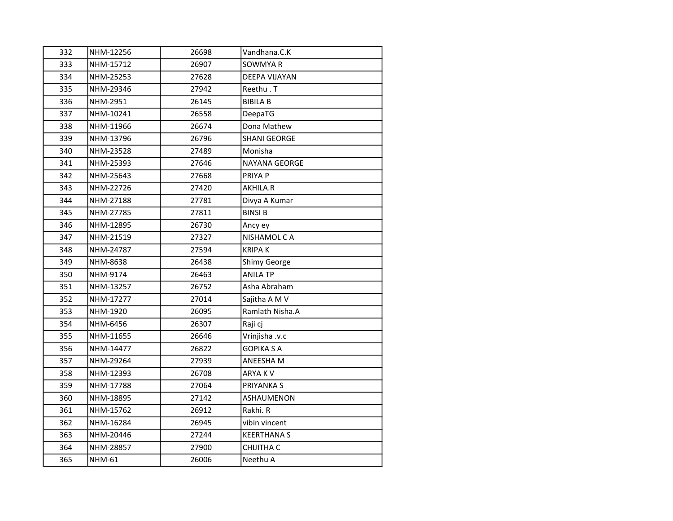| 332 | NHM-12256 | 26698 | Vandhana.C.K         |
|-----|-----------|-------|----------------------|
| 333 | NHM-15712 | 26907 | SOWMYA R             |
| 334 | NHM-25253 | 27628 | <b>DEEPA VIJAYAN</b> |
| 335 | NHM-29346 | 27942 | Reethu.T             |
| 336 | NHM-2951  | 26145 | <b>BIBILA B</b>      |
| 337 | NHM-10241 | 26558 | DeepaTG              |
| 338 | NHM-11966 | 26674 | Dona Mathew          |
| 339 | NHM-13796 | 26796 | <b>SHANI GEORGE</b>  |
| 340 | NHM-23528 | 27489 | Monisha              |
| 341 | NHM-25393 | 27646 | <b>NAYANA GEORGE</b> |
| 342 | NHM-25643 | 27668 | PRIYA P              |
| 343 | NHM-22726 | 27420 | AKHILA.R             |
| 344 | NHM-27188 | 27781 | Divya A Kumar        |
| 345 | NHM-27785 | 27811 | <b>BINSI B</b>       |
| 346 | NHM-12895 | 26730 | Ancy ey              |
| 347 | NHM-21519 | 27327 | NISHAMOL CA          |
| 348 | NHM-24787 | 27594 | KRIPA K              |
| 349 | NHM-8638  | 26438 | Shimy George         |
| 350 | NHM-9174  | 26463 | <b>ANILA TP</b>      |
| 351 | NHM-13257 | 26752 | Asha Abraham         |
| 352 | NHM-17277 | 27014 | Sajitha A M V        |
| 353 | NHM-1920  | 26095 | Ramlath Nisha.A      |
| 354 | NHM-6456  | 26307 | Raji cj              |
| 355 | NHM-11655 | 26646 | Vrinjisha .v.c       |
| 356 | NHM-14477 | 26822 | <b>GOPIKA S A</b>    |
| 357 | NHM-29264 | 27939 | ANEESHA M            |
| 358 | NHM-12393 | 26708 | ARYA K V             |
| 359 | NHM-17788 | 27064 | PRIYANKA S           |
| 360 | NHM-18895 | 27142 | ASHAUMENON           |
| 361 | NHM-15762 | 26912 | Rakhi. R             |
| 362 | NHM-16284 | 26945 | vibin vincent        |
| 363 | NHM-20446 | 27244 | <b>KEERTHANA S</b>   |
| 364 | NHM-28857 | 27900 | CHIJITHA C           |
| 365 | NHM-61    | 26006 | Neethu A             |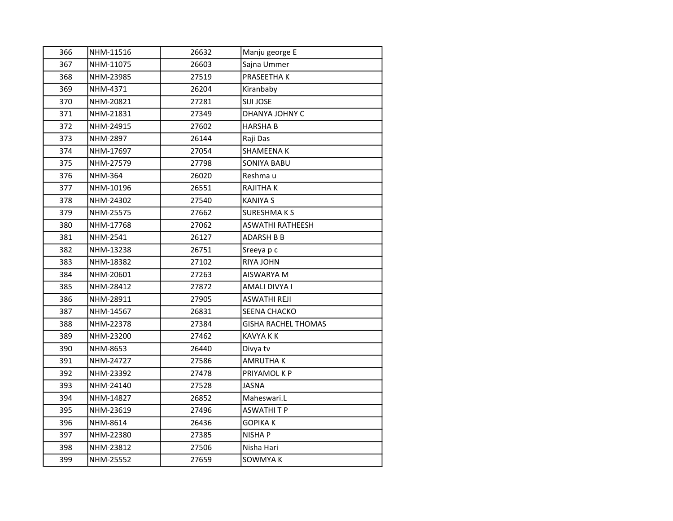| 366 | NHM-11516 | 26632 | Manju george E             |
|-----|-----------|-------|----------------------------|
| 367 | NHM-11075 | 26603 | Sajna Ummer                |
| 368 | NHM-23985 | 27519 | PRASEETHA K                |
| 369 | NHM-4371  | 26204 | Kiranbaby                  |
| 370 | NHM-20821 | 27281 | SIJI JOSE                  |
| 371 | NHM-21831 | 27349 | DHANYA JOHNY C             |
| 372 | NHM-24915 | 27602 | HARSHA B                   |
| 373 | NHM-2897  | 26144 | Raji Das                   |
| 374 | NHM-17697 | 27054 | SHAMEENA K                 |
| 375 | NHM-27579 | 27798 | <b>SONIYA BABU</b>         |
| 376 | NHM-364   | 26020 | Reshma u                   |
| 377 | NHM-10196 | 26551 | RAJITHA K                  |
| 378 | NHM-24302 | 27540 | KANIYA S                   |
| 379 | NHM-25575 | 27662 | <b>SURESHMAKS</b>          |
| 380 | NHM-17768 | 27062 | <b>ASWATHI RATHEESH</b>    |
| 381 | NHM-2541  | 26127 | <b>ADARSH B B</b>          |
| 382 | NHM-13238 | 26751 | Sreeya p c                 |
| 383 | NHM-18382 | 27102 | RIYA JOHN                  |
| 384 | NHM-20601 | 27263 | AISWARYA M                 |
| 385 | NHM-28412 | 27872 | AMALI DIVYA I              |
| 386 | NHM-28911 | 27905 | ASWATHI REJI               |
| 387 | NHM-14567 | 26831 | SEENA CHACKO               |
| 388 | NHM-22378 | 27384 | <b>GISHA RACHEL THOMAS</b> |
| 389 | NHM-23200 | 27462 | <b>KAVYA K K</b>           |
| 390 | NHM-8653  | 26440 | Divya tv                   |
| 391 | NHM-24727 | 27586 | AMRUTHA K                  |
| 392 | NHM-23392 | 27478 | PRIYAMOL K P               |
| 393 | NHM-24140 | 27528 | JASNA                      |
| 394 | NHM-14827 | 26852 | Maheswari.L                |
| 395 | NHM-23619 | 27496 | <b>ASWATHITP</b>           |
| 396 | NHM-8614  | 26436 | GOPIKA K                   |
| 397 | NHM-22380 | 27385 | NISHA P                    |
| 398 | NHM-23812 | 27506 | Nisha Hari                 |
| 399 | NHM-25552 | 27659 | SOWMYA K                   |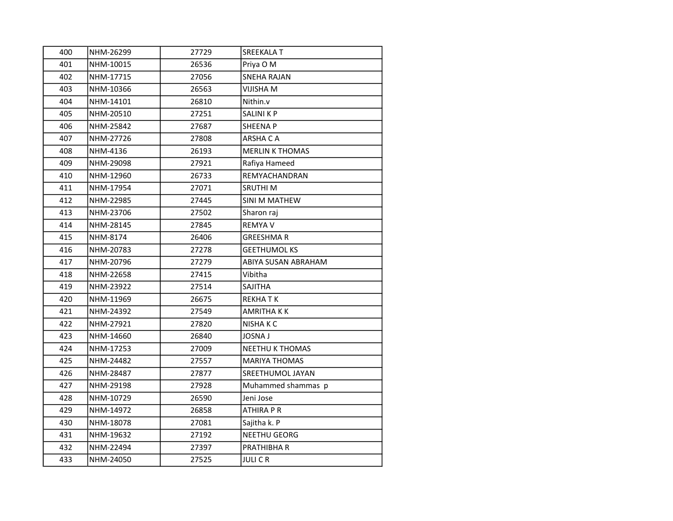| 400 | NHM-26299 | 27729 | SREEKALA T             |
|-----|-----------|-------|------------------------|
| 401 | NHM-10015 | 26536 | Priya O M              |
| 402 | NHM-17715 | 27056 | <b>SNEHA RAJAN</b>     |
| 403 | NHM-10366 | 26563 | <b>VIJISHA M</b>       |
| 404 | NHM-14101 | 26810 | Nithin.v               |
| 405 | NHM-20510 | 27251 | <b>SALINI K P</b>      |
| 406 | NHM-25842 | 27687 | SHEENA P               |
| 407 | NHM-27726 | 27808 | ARSHA C A              |
| 408 | NHM-4136  | 26193 | <b>MERLIN K THOMAS</b> |
| 409 | NHM-29098 | 27921 | Rafiya Hameed          |
| 410 | NHM-12960 | 26733 | REMYACHANDRAN          |
| 411 | NHM-17954 | 27071 | <b>SRUTHIM</b>         |
| 412 | NHM-22985 | 27445 | SINI M MATHEW          |
| 413 | NHM-23706 | 27502 | Sharon raj             |
| 414 | NHM-28145 | 27845 | <b>REMYA V</b>         |
| 415 | NHM-8174  | 26406 | <b>GREESHMAR</b>       |
| 416 | NHM-20783 | 27278 | <b>GEETHUMOL KS</b>    |
| 417 | NHM-20796 | 27279 | ABIYA SUSAN ABRAHAM    |
| 418 | NHM-22658 | 27415 | Vibitha                |
| 419 | NHM-23922 | 27514 | <b>SAJITHA</b>         |
| 420 | NHM-11969 | 26675 | <b>REKHATK</b>         |
| 421 | NHM-24392 | 27549 | AMRITHA K K            |
| 422 | NHM-27921 | 27820 | NISHA K C              |
| 423 | NHM-14660 | 26840 | <b>JOSNA J</b>         |
| 424 | NHM-17253 | 27009 | NEETHU K THOMAS        |
| 425 | NHM-24482 | 27557 | <b>MARIYA THOMAS</b>   |
| 426 | NHM-28487 | 27877 | SREETHUMOL JAYAN       |
| 427 | NHM-29198 | 27928 | Muhammed shammas p     |
| 428 | NHM-10729 | 26590 | Jeni Jose              |
| 429 | NHM-14972 | 26858 | <b>ATHIRA P R</b>      |
| 430 | NHM-18078 | 27081 | Sajitha k. P           |
| 431 | NHM-19632 | 27192 | NEETHU GEORG           |
| 432 | NHM-22494 | 27397 | PRATHIBHA R            |
| 433 | NHM-24050 | 27525 | JULI C R               |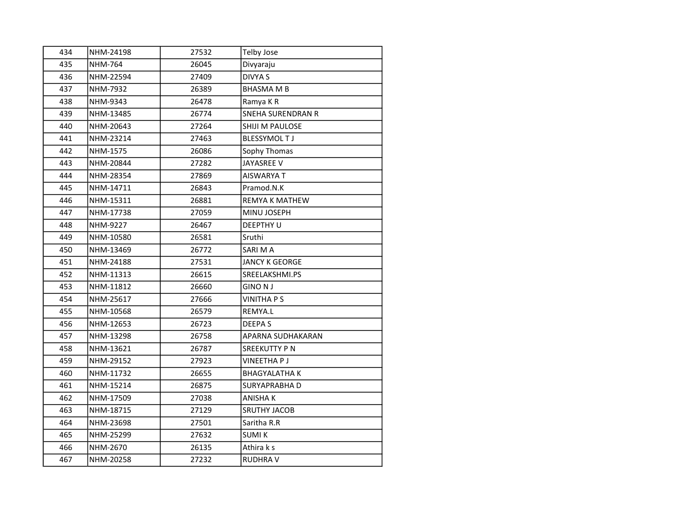| 434 | NHM-24198      | 27532 | <b>Telby Jose</b>        |
|-----|----------------|-------|--------------------------|
| 435 | <b>NHM-764</b> | 26045 | Divyaraju                |
| 436 | NHM-22594      | 27409 | <b>DIVYA S</b>           |
| 437 | NHM-7932       | 26389 | <b>BHASMA M B</b>        |
| 438 | NHM-9343       | 26478 | Ramya KR                 |
| 439 | NHM-13485      | 26774 | <b>SNEHA SURENDRAN R</b> |
| 440 | NHM-20643      | 27264 | SHIJI M PAULOSE          |
| 441 | NHM-23214      | 27463 | <b>BLESSYMOL TJ</b>      |
| 442 | NHM-1575       | 26086 | Sophy Thomas             |
| 443 | NHM-20844      | 27282 | <b>JAYASREE V</b>        |
| 444 | NHM-28354      | 27869 | AISWARYA T               |
| 445 | NHM-14711      | 26843 | Pramod.N.K               |
| 446 | NHM-15311      | 26881 | <b>REMYA K MATHEW</b>    |
| 447 | NHM-17738      | 27059 | MINU JOSEPH              |
| 448 | NHM-9227       | 26467 | <b>DEEPTHY U</b>         |
| 449 | NHM-10580      | 26581 | Sruthi                   |
| 450 | NHM-13469      | 26772 | SARI M A                 |
| 451 | NHM-24188      | 27531 | <b>JANCY K GEORGE</b>    |
| 452 | NHM-11313      | 26615 | SREELAKSHMI.PS           |
| 453 | NHM-11812      | 26660 | <b>GINO NJ</b>           |
| 454 | NHM-25617      | 27666 | <b>VINITHA P S</b>       |
| 455 | NHM-10568      | 26579 | REMYA.L                  |
| 456 | NHM-12653      | 26723 | DEEPA S                  |
| 457 | NHM-13298      | 26758 | APARNA SUDHAKARAN        |
| 458 | NHM-13621      | 26787 | <b>SREEKUTTY PN</b>      |
| 459 | NHM-29152      | 27923 | <b>VINEETHAPJ</b>        |
| 460 | NHM-11732      | 26655 | <b>BHAGYALATHA K</b>     |
| 461 | NHM-15214      | 26875 | SURYAPRABHA D            |
| 462 | NHM-17509      | 27038 | <b>ANISHAK</b>           |
| 463 | NHM-18715      | 27129 | <b>SRUTHY JACOB</b>      |
| 464 | NHM-23698      | 27501 | Saritha R.R              |
| 465 | NHM-25299      | 27632 | <b>SUMI K</b>            |
| 466 | NHM-2670       | 26135 | Athira k s               |
| 467 | NHM-20258      | 27232 | <b>RUDHRAV</b>           |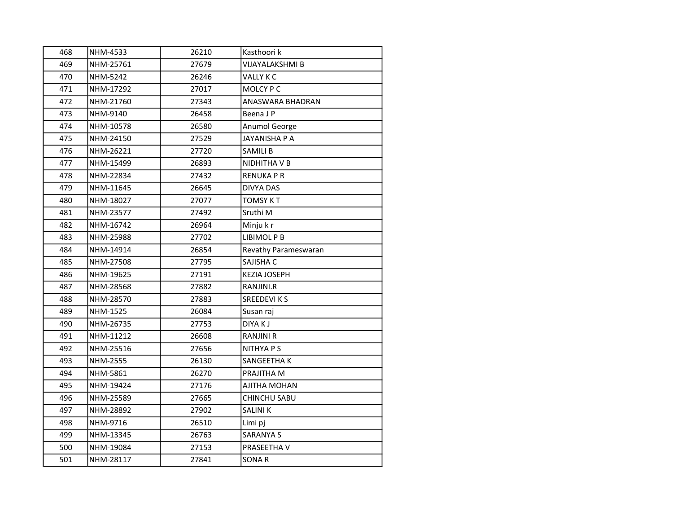| 468 | NHM-4533  | 26210 | Kasthoori k            |
|-----|-----------|-------|------------------------|
| 469 | NHM-25761 | 27679 | <b>VIJAYALAKSHMI B</b> |
| 470 | NHM-5242  | 26246 | VALLY K C              |
| 471 | NHM-17292 | 27017 | MOLCY P C              |
| 472 | NHM-21760 | 27343 | ANASWARA BHADRAN       |
| 473 | NHM-9140  | 26458 | Beena J P              |
| 474 | NHM-10578 | 26580 | Anumol George          |
| 475 | NHM-24150 | 27529 | JAYANISHA P A          |
| 476 | NHM-26221 | 27720 | <b>SAMILI B</b>        |
| 477 | NHM-15499 | 26893 | NIDHITHA V B           |
| 478 | NHM-22834 | 27432 | <b>RENUKA P R</b>      |
| 479 | NHM-11645 | 26645 | <b>DIVYA DAS</b>       |
| 480 | NHM-18027 | 27077 | <b>TOMSY K T</b>       |
| 481 | NHM-23577 | 27492 | Sruthi M               |
| 482 | NHM-16742 | 26964 | Minju k r              |
| 483 | NHM-25988 | 27702 | LIBIMOL P B            |
| 484 | NHM-14914 | 26854 | Revathy Parameswaran   |
| 485 | NHM-27508 | 27795 | SAJISHA C              |
| 486 | NHM-19625 | 27191 | <b>KEZIA JOSEPH</b>    |
| 487 | NHM-28568 | 27882 | RANJINI.R              |
| 488 | NHM-28570 | 27883 | <b>SREEDEVIKS</b>      |
| 489 | NHM-1525  | 26084 | Susan raj              |
| 490 | NHM-26735 | 27753 | DIYA K J               |
| 491 | NHM-11212 | 26608 | <b>RANJINI R</b>       |
| 492 | NHM-25516 | 27656 | <b>NITHYA P S</b>      |
| 493 | NHM-2555  | 26130 | <b>SANGEETHA K</b>     |
| 494 | NHM-5861  | 26270 | PRAJITHA M             |
| 495 | NHM-19424 | 27176 | AJITHA MOHAN           |
| 496 | NHM-25589 | 27665 | <b>CHINCHU SABU</b>    |
| 497 | NHM-28892 | 27902 | <b>SALINIK</b>         |
| 498 | NHM-9716  | 26510 | Limi pj                |
| 499 | NHM-13345 | 26763 | <b>SARANYA S</b>       |
| 500 | NHM-19084 | 27153 | PRASEETHA V            |
| 501 | NHM-28117 | 27841 | SONA R                 |